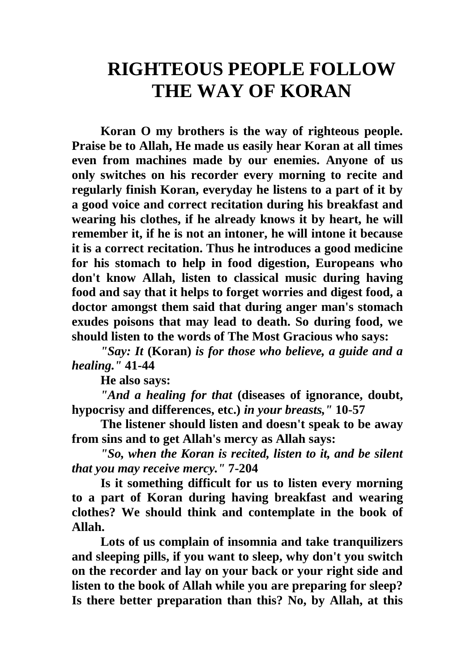## **RIGHTEOUS PEOPLE FOLLOW THE WAY OF KORAN**

**Koran O my brothers is the way of righteous people. Praise be to Allah, He made us easily hear Koran at all times even from machines made by our enemies. Anyone of us only switches on his recorder every morning to recite and regularly finish Koran, everyday he listens to a part of it by a good voice and correct recitation during his breakfast and wearing his clothes, if he already knows it by heart, he will remember it, if he is not an intoner, he will intone it because it is a correct recitation. Thus he introduces a good medicine for his stomach to help in food digestion, Europeans who don't know Allah, listen to classical music during having food and say that it helps to forget worries and digest food, a doctor amongst them said that during anger man's stomach exudes poisons that may lead to death. So during food, we should listen to the words of The Most Gracious who says:**

*"Say: It* **(Koran)** *is for those who believe, a guide and a healing."* **41-44**

**He also says:**

*"And a healing for that* **(diseases of ignorance, doubt, hypocrisy and differences, etc.)** *in your breasts,"* **10-57**

**The listener should listen and doesn't speak to be away from sins and to get Allah's mercy as Allah says:**

*"So, when the Koran is recited, listen to it, and be silent that you may receive mercy."* **7-204**

**Is it something difficult for us to listen every morning to a part of Koran during having breakfast and wearing clothes? We should think and contemplate in the book of Allah.**

**Lots of us complain of insomnia and take tranquilizers and sleeping pills, if you want to sleep, why don't you switch on the recorder and lay on your back or your right side and listen to the book of Allah while you are preparing for sleep? Is there better preparation than this? No, by Allah, at this**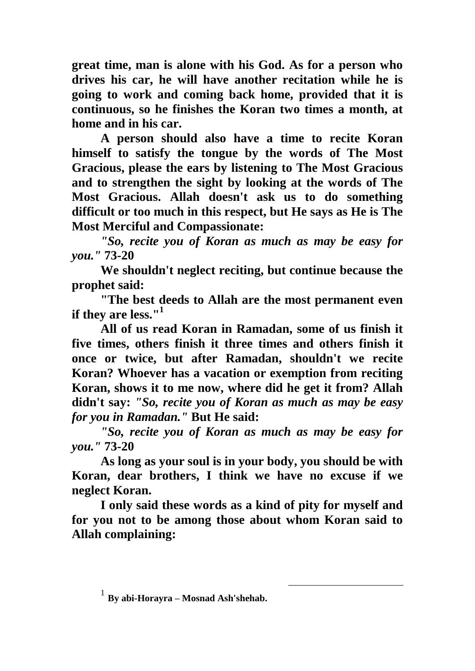**great time, man is alone with his God. As for a person who drives his car, he will have another recitation while he is going to work and coming back home, provided that it is continuous, so he finishes the Koran two times a month, at home and in his car.**

**A person should also have a time to recite Koran himself to satisfy the tongue by the words of The Most Gracious, please the ears by listening to The Most Gracious and to strengthen the sight by looking at the words of The Most Gracious. Allah doesn't ask us to do something difficult or too much in this respect, but He says as He is The Most Merciful and Compassionate:**

*"So, recite you of Koran as much as may be easy for you."* **73-20**

**We shouldn't neglect reciting, but continue because the prophet said:**

**"The best deeds to Allah are the most permanent even if they are less."<sup>1</sup>**

**All of us read Koran in Ramadan, some of us finish it five times, others finish it three times and others finish it once or twice, but after Ramadan, shouldn't we recite Koran? Whoever has a vacation or exemption from reciting Koran, shows it to me now, where did he get it from? Allah didn't say:** *"So, recite you of Koran as much as may be easy for you in Ramadan."* **But He said:**

*"So, recite you of Koran as much as may be easy for you."* **73-20**

**As long as your soul is in your body, you should be with Koran, dear brothers, I think we have no excuse if we neglect Koran.**

**I only said these words as a kind of pity for myself and for you not to be among those about whom Koran said to Allah complaining:**

1

<sup>1</sup> **By abi-Horayra – Mosnad Ash'shehab.**